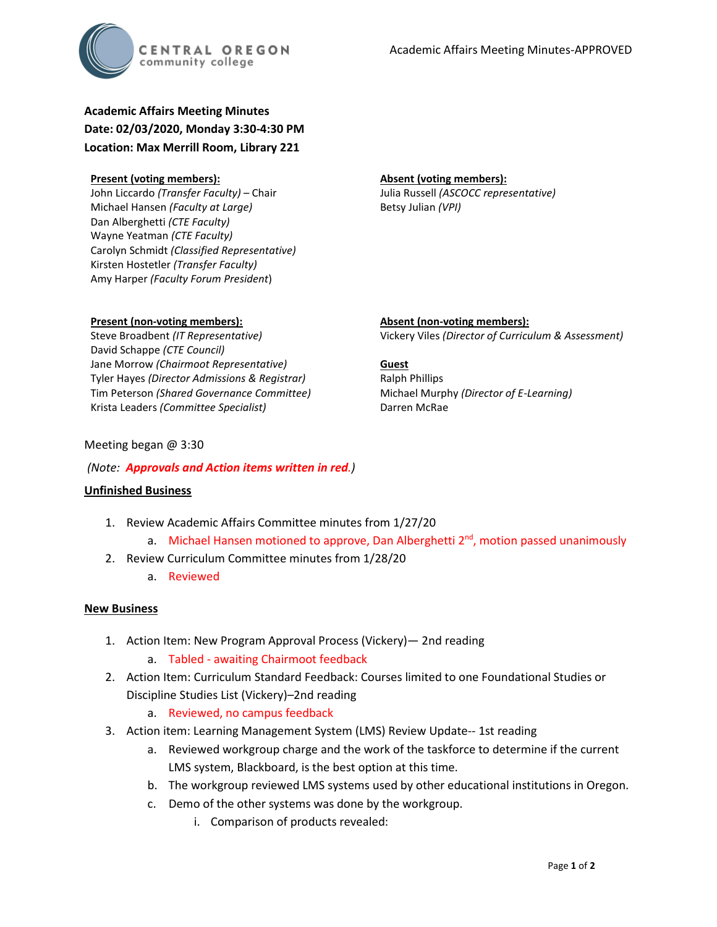

# **Academic Affairs Meeting Minutes Date: 02/03/2020, Monday 3:30-4:30 PM Location: Max Merrill Room, Library 221**

#### **Present (voting members):**

John Liccardo *(Transfer Faculty)* – Chair Michael Hansen *(Faculty at Large)* Dan Alberghetti *(CTE Faculty)* Wayne Yeatman *(CTE Faculty)* Carolyn Schmidt *(Classified Representative)* Kirsten Hostetler *(Transfer Faculty)* Amy Harper *(Faculty Forum President*)

#### **Absent (voting members):**

Julia Russell *(ASCOCC representative)* Betsy Julian *(VPI)*

# **Present (non-voting members):**

Steve Broadbent *(IT Representative)* David Schappe *(CTE Council)* Jane Morrow *(Chairmoot Representative)* Tyler Hayes *(Director Admissions & Registrar)* Tim Peterson *(Shared Governance Committee)* Krista Leaders *(Committee Specialist)*

**Absent (non-voting members):** Vickery Viles *(Director of Curriculum & Assessment)*

#### **Guest**

Ralph Phillips Michael Murphy *(Director of E-Learning)* Darren McRae

# Meeting began @ 3:30

# *(Note: Approvals and Action items written in red.)*

## **Unfinished Business**

- 1. Review Academic Affairs Committee minutes from 1/27/20
	- a. Michael Hansen motioned to approve, Dan Alberghetti 2<sup>nd</sup>, motion passed unanimously
- 2. Review Curriculum Committee minutes from 1/28/20
	- a. Reviewed

## **New Business**

- 1. Action Item: New Program Approval Process (Vickery)— 2nd reading
	- a. Tabled awaiting Chairmoot feedback
- 2. Action Item: Curriculum Standard Feedback: Courses limited to one Foundational Studies or Discipline Studies List (Vickery)–2nd reading
	- a. Reviewed, no campus feedback
- 3. Action item: Learning Management System (LMS) Review Update-- 1st reading
	- a. Reviewed workgroup charge and the work of the taskforce to determine if the current LMS system, Blackboard, is the best option at this time.
	- b. The workgroup reviewed LMS systems used by other educational institutions in Oregon.
	- c. Demo of the other systems was done by the workgroup.
		- i. Comparison of products revealed: